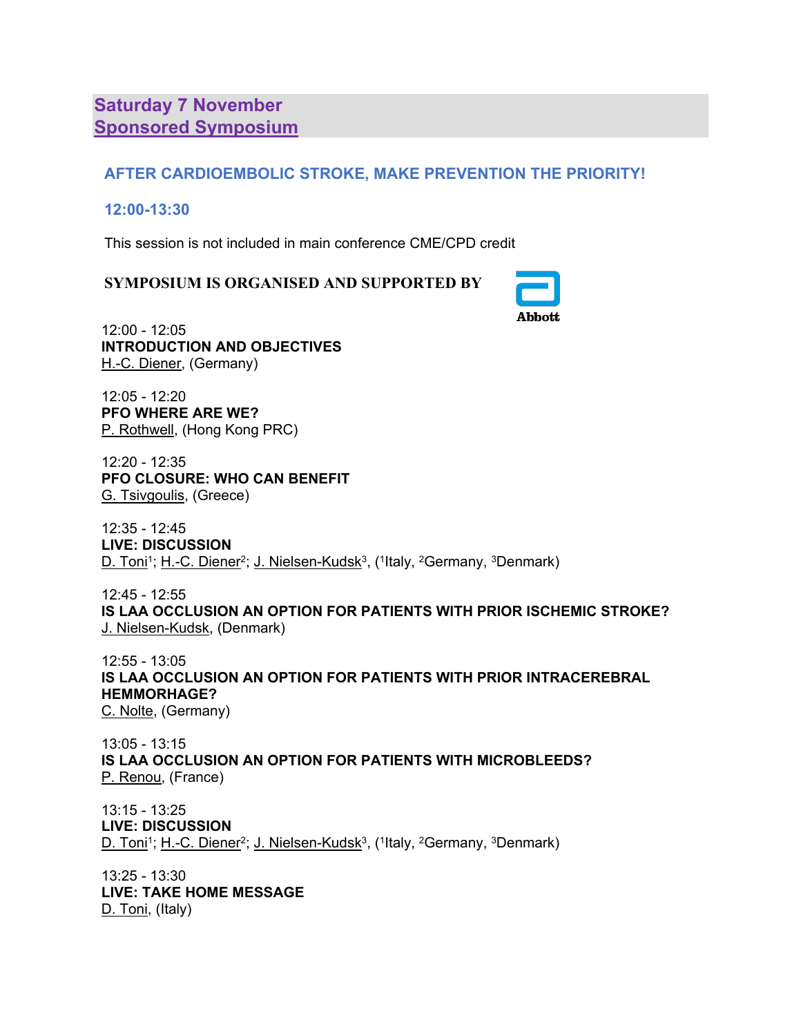## **AFTER CARDIOEMBOLIC STROKE, MAKE PREVENTION THE PRIORITY!**

#### **12:00-13:30**

This session is not included in main conference CME/CPD credit

#### **SYMPOSIUM IS ORGANISED AND SUPPORTED BY**



12:00 - 12:05 **INTRODUCTION AND OBJECTIVES** H.-C. Diener, (Germany)

12:05 - 12:20 **PFO WHERE ARE WE?** P. Rothwell, (Hong Kong PRC)

12:20 - 12:35 **PFO CLOSURE: WHO CAN BENEFIT** G. Tsivgoulis, (Greece)

12:35 - 12:45 **LIVE: DISCUSSION** D. Toni<sup>1</sup>; H.-C. Diener<sup>2</sup>; J. Nielsen-Kudsk<sup>3</sup>, (<sup>1</sup>ltaly, <sup>2</sup>Germany, <sup>3</sup>Denmark)

12:45 - 12:55 **IS LAA OCCLUSION AN OPTION FOR PATIENTS WITH PRIOR ISCHEMIC STROKE?** J. Nielsen-Kudsk, (Denmark)

12:55 - 13:05 **IS LAA OCCLUSION AN OPTION FOR PATIENTS WITH PRIOR INTRACEREBRAL HEMMORHAGE?** C. Nolte, (Germany)

13:05 - 13:15 **IS LAA OCCLUSION AN OPTION FOR PATIENTS WITH MICROBLEEDS?** P. Renou, (France)

13:15 - 13:25 **LIVE: DISCUSSION** D. Toni<sup>1</sup>; H.-C. Diener<sup>2</sup>; J. Nielsen-Kudsk<sup>3</sup>, (<sup>1</sup>ltaly, <sup>2</sup>Germany, <sup>3</sup>Denmark)

13:25 - 13:30 **LIVE: TAKE HOME MESSAGE** D. Toni, (Italy)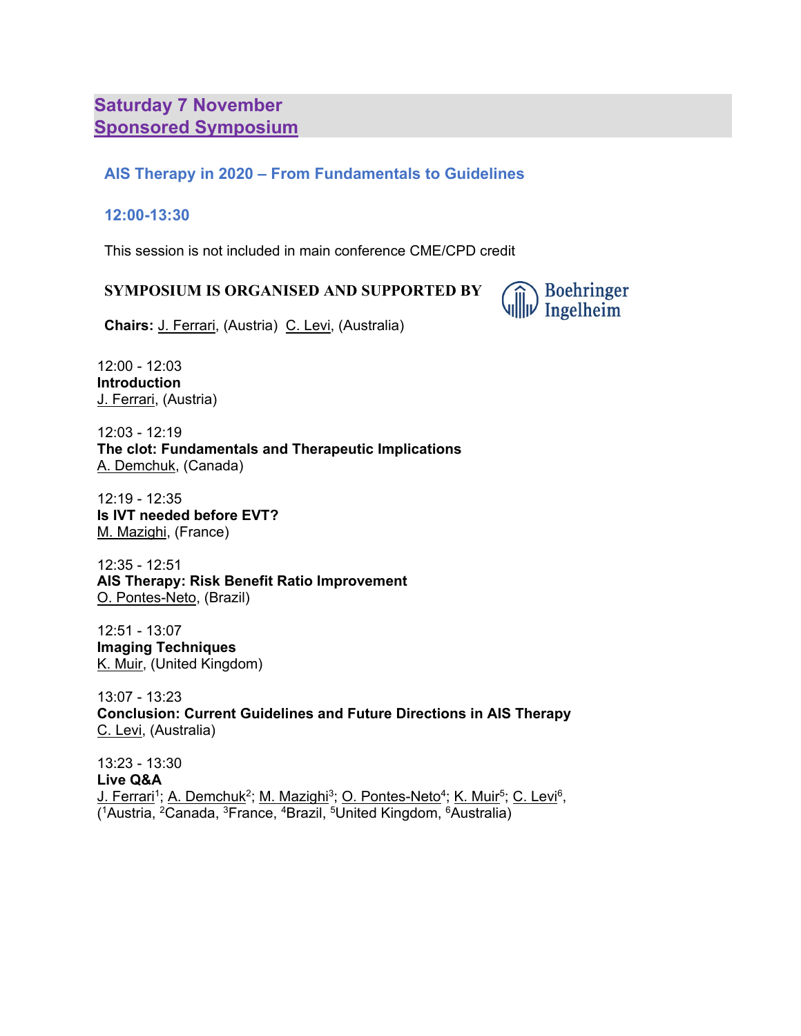## **AIS Therapy in 2020 – From Fundamentals to Guidelines**

#### **12:00-13:30**

This session is not included in main conference CME/CPD credit

#### **SYMPOSIUM IS ORGANISED AND SUPPORTED BY**



**Chairs: J. Ferrari, (Austria) C. Levi, (Australia)** 

12:00 - 12:03 **Introduction** J. Ferrari, (Austria)

12:03 - 12:19 **The clot: Fundamentals and Therapeutic Implications** A. Demchuk, (Canada)

12:19 - 12:35 **Is IVT needed before EVT?** M. Mazighi, (France)

12:35 - 12:51 **AIS Therapy: Risk Benefit Ratio Improvement** O. Pontes-Neto, (Brazil)

12:51 - 13:07 **Imaging Techniques** K. Muir, (United Kingdom)

13:07 - 13:23 **Conclusion: Current Guidelines and Future Directions in AIS Therapy** C. Levi, (Australia)

13:23 - 13:30 **Live Q&A** J. Ferrari<sup>1</sup>; A. Demchuk<sup>2</sup>; M. Mazighi<sup>3</sup>; O. Pontes-Neto<sup>4</sup>; K. Muir<sup>5</sup>; C. Levi<sup>6</sup>, (1Austria, 2Canada, 3France, 4Brazil, 5United Kingdom, 6Australia)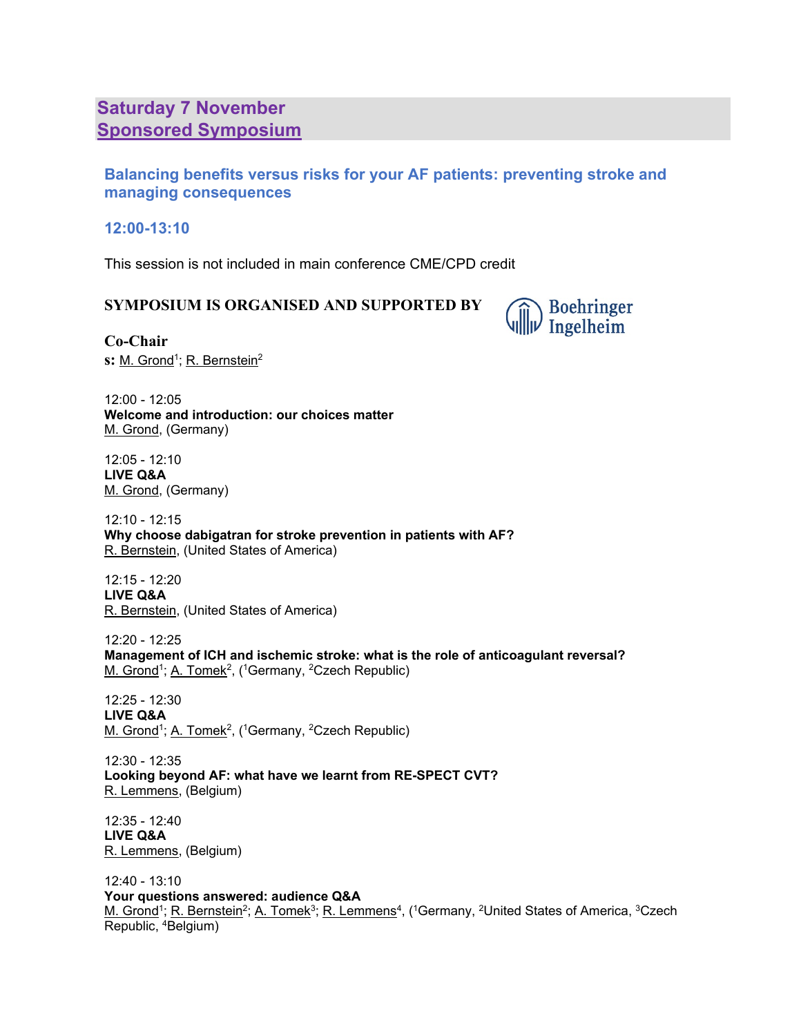## **Balancing benefits versus risks for your AF patients: preventing stroke and managing consequences**

#### **12:00-13:10**

This session is not included in main conference CME/CPD credit

#### **SYMPOSIUM IS ORGANISED AND SUPPORTED BY**



**Co-Chair** s: M. Grond<sup>1</sup>; R. Bernstein<sup>2</sup>

12:00 - 12:05 **Welcome and introduction: our choices matter** M. Grond, (Germany)

12:05 - 12:10 **LIVE Q&A** M. Grond, (Germany)

12:10 - 12:15 **Why choose dabigatran for stroke prevention in patients with AF?** R. Bernstein, (United States of America)

12:15 - 12:20 **LIVE Q&A** R. Bernstein, (United States of America)

 $12:20 - 12:25$ **Management of ICH and ischemic stroke: what is the role of anticoagulant reversal?** M. Grond<sup>1</sup>; A. Tomek<sup>2</sup>, (<sup>1</sup>Germany, <sup>2</sup>Czech Republic)

12:25 - 12:30 **LIVE Q&A** M. Grond<sup>1</sup>; A. Tomek<sup>2</sup>, (<sup>1</sup>Germany, <sup>2</sup>Czech Republic)

12:30 - 12:35 **Looking beyond AF: what have we learnt from RE-SPECT CVT?** R. Lemmens, (Belgium)

12:35 - 12:40 **LIVE Q&A** R. Lemmens, (Belgium)

12:40 - 13:10 **Your questions answered: audience Q&A** M. Grond<sup>1</sup>; R. Bernstein<sup>2</sup>; A. Tomek<sup>3</sup>; R. Lemmens<sup>4</sup>, (<sup>1</sup>Germany, <sup>2</sup>United States of America, <sup>3</sup>Czech Republic, 4Belgium)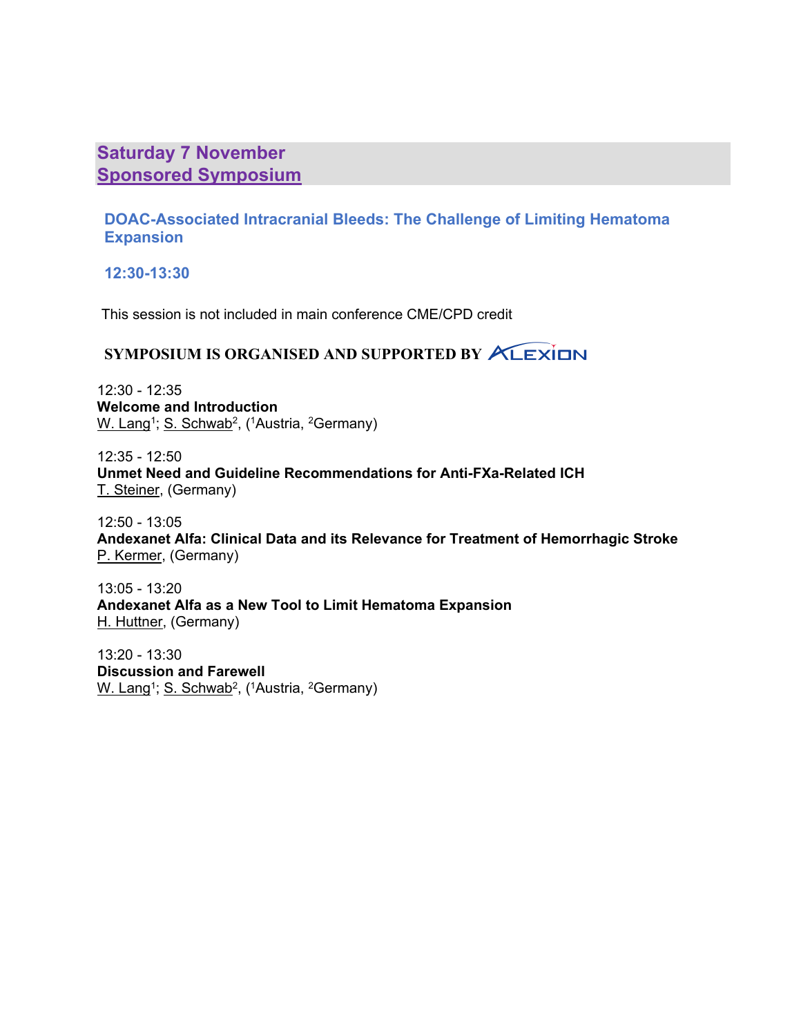# **Saturday 7 November Sponsored Symposium**

**DOAC-Associated Intracranial Bleeds: The Challenge of Limiting Hematoma Expansion**

**12:30-13:30**

This session is not included in main conference CME/CPD credit

# **SYMPOSIUM IS ORGANISED AND SUPPORTED BY ALEXION**

12:30 - 12:35 **Welcome and Introduction** W. Lang<sup>1</sup>; S. Schwab<sup>2</sup>, (<sup>1</sup>Austria, <sup>2</sup>Germany)

 $12:35 - 12:50$ **Unmet Need and Guideline Recommendations for Anti-FXa-Related ICH** T. Steiner, (Germany)

12:50 - 13:05 **Andexanet Alfa: Clinical Data and its Relevance for Treatment of Hemorrhagic Stroke** P. Kermer, (Germany)

13:05 - 13:20 **Andexanet Alfa as a New Tool to Limit Hematoma Expansion** H. Huttner, (Germany)

13:20 - 13:30 **Discussion and Farewell** W. Lang<sup>1</sup>; S. Schwab<sup>2</sup>, (<sup>1</sup>Austria, <sup>2</sup>Germany)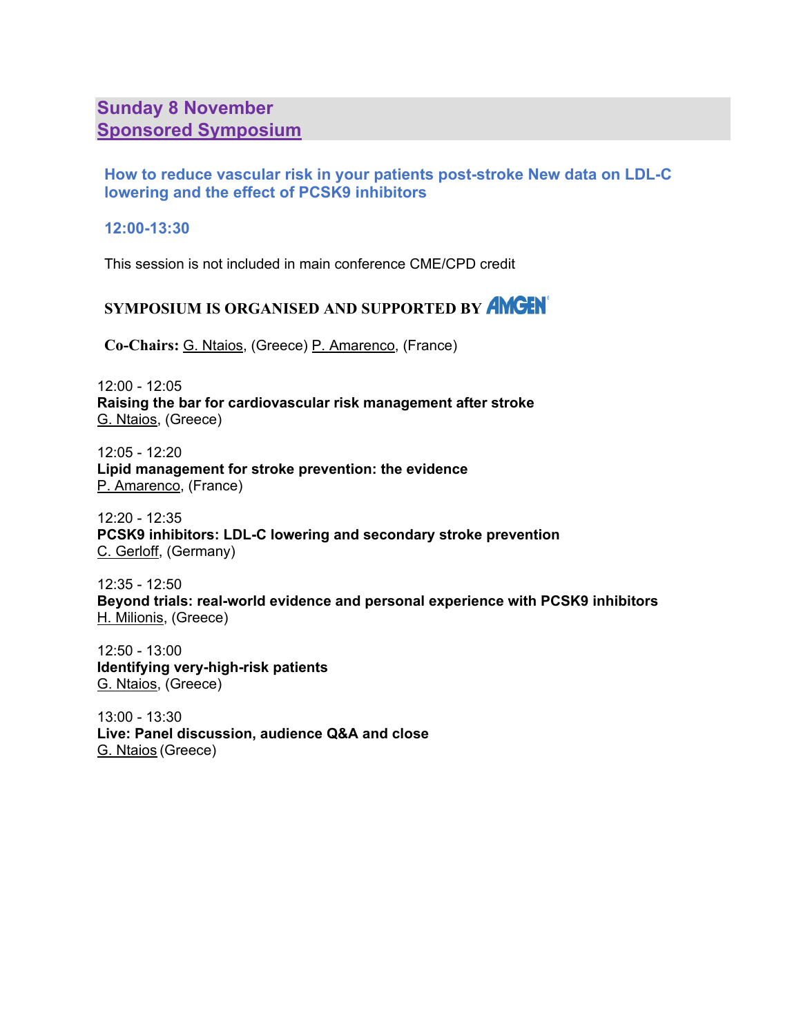### **How to reduce vascular risk in your patients post-stroke New data on LDL-C lowering and the effect of PCSK9 inhibitors**

#### **12:00-13:30**

This session is not included in main conference CME/CPD credit

# **SYMPOSIUM IS ORGANISED AND SUPPORTED BY AMGEN**

**Co-Chairs:** G. Ntaios, (Greece) P. Amarenco, (France)

12:00 - 12:05 **Raising the bar for cardiovascular risk management after stroke** G. Ntaios, (Greece)

12:05 - 12:20 **Lipid management for stroke prevention: the evidence** P. Amarenco, (France)

12:20 - 12:35 **PCSK9 inhibitors: LDL-C lowering and secondary stroke prevention** C. Gerloff, (Germany)

12:35 - 12:50 **Beyond trials: real-world evidence and personal experience with PCSK9 inhibitors** H. Milionis, (Greece)

12:50 - 13:00 **Identifying very-high-risk patients** G. Ntaios, (Greece)

13:00 - 13:30 **Live: Panel discussion, audience Q&A and close** G. Ntaios (Greece)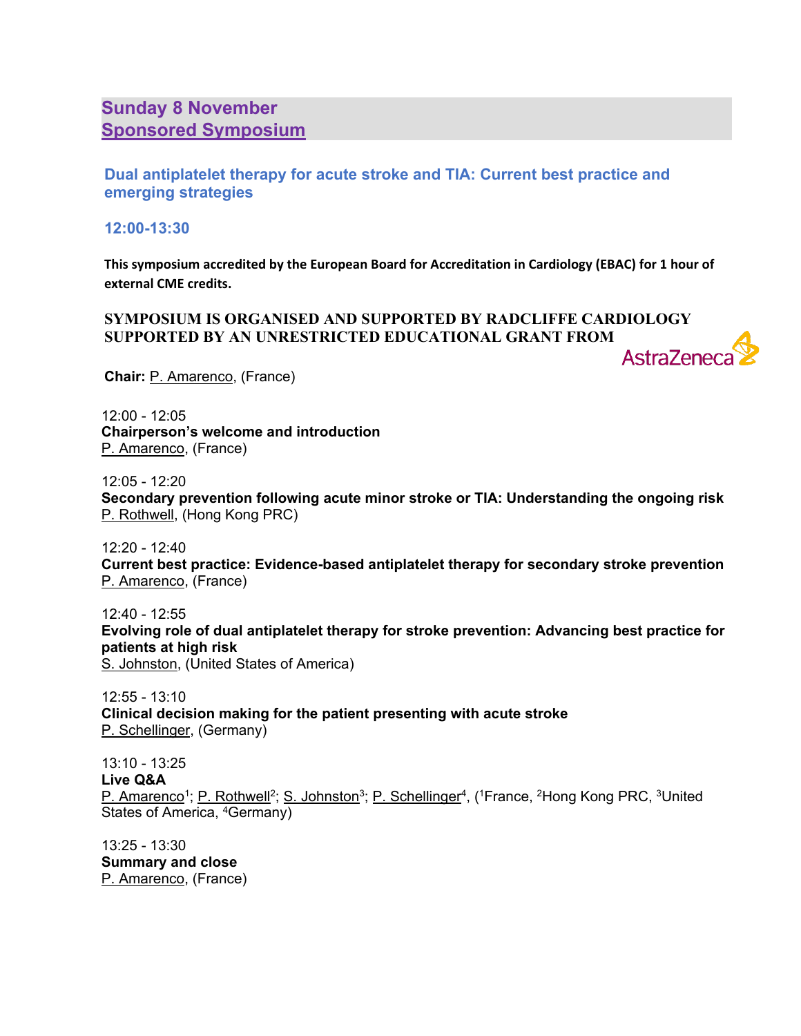**Dual antiplatelet therapy for acute stroke and TIA: Current best practice and emerging strategies**

**12:00-13:30**

**This symposium accredited by the European Board for Accreditation in Cardiology (EBAC) for 1 hour of external CME credits.**

## **SYMPOSIUM IS ORGANISED AND SUPPORTED BY RADCLIFFE CARDIOLOGY SUPPORTED BY AN UNRESTRICTED EDUCATIONAL GRANT FROM** AstraZeneca

**Chair:** P. Amarenco, (France)

12:00 - 12:05 **Chairperson's welcome and introduction** P. Amarenco, (France)

12:05 - 12:20

**Secondary prevention following acute minor stroke or TIA: Understanding the ongoing risk** P. Rothwell, (Hong Kong PRC)

12:20 - 12:40

**Current best practice: Evidence-based antiplatelet therapy for secondary stroke prevention** P. Amarenco, (France)

12:40 - 12:55 **Evolving role of dual antiplatelet therapy for stroke prevention: Advancing best practice for patients at high risk** S. Johnston, (United States of America)

12:55 - 13:10 **Clinical decision making for the patient presenting with acute stroke** P. Schellinger, (Germany)

13:10 - 13:25 **Live Q&A** P. Amarenco<sup>1</sup>; P. Rothwell<sup>2</sup>; S. Johnston<sup>3</sup>; P. Schellinger<sup>4</sup>, (<sup>1</sup>France, <sup>2</sup>Hong Kong PRC, <sup>3</sup>United States of America, 4Germany)

13:25 - 13:30 **Summary and close** P. Amarenco, (France)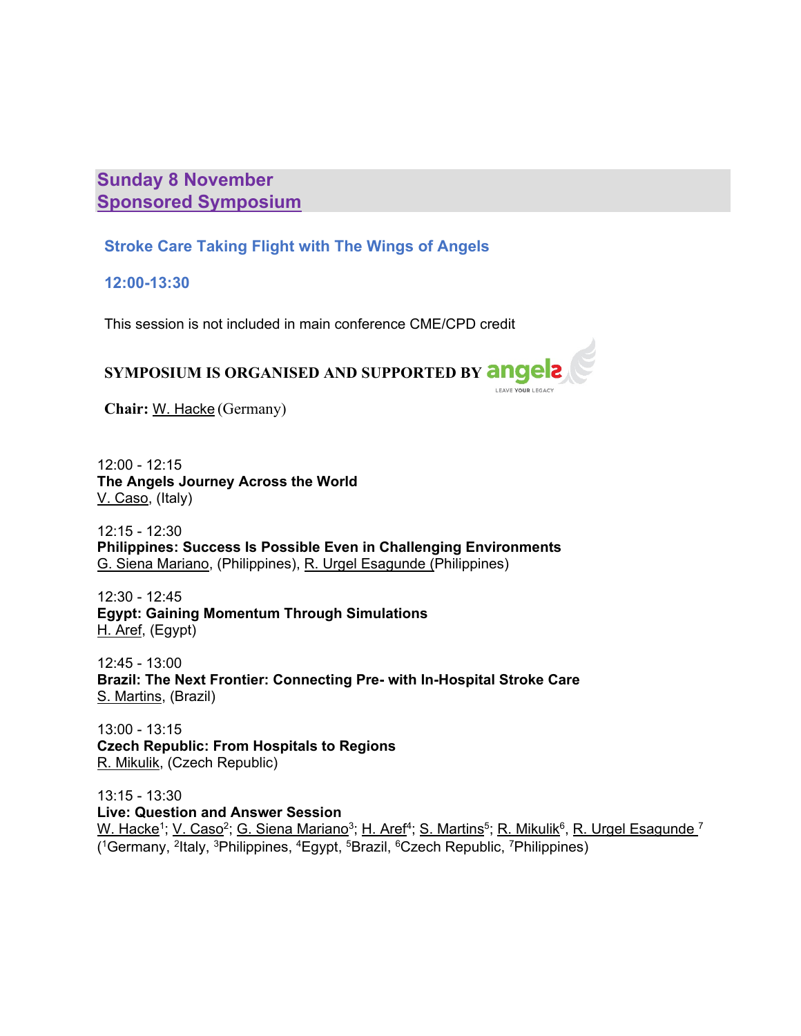**Sunday 8 November Sponsored Symposium**

## **Stroke Care Taking Flight with The Wings of Angels**

**12:00-13:30**

This session is not included in main conference CME/CPD credit

## **SYMPOSIUM IS ORGANISED AND SUPPORTED BY**

LEAVE YOUR LEGAC

**Chair:** W. Hacke (Germany)

12:00 - 12:15 **The Angels Journey Across the World** V. Caso, (Italy)

12:15 - 12:30 **Philippines: Success Is Possible Even in Challenging Environments** G. Siena Mariano, (Philippines), R. Urgel Esagunde (Philippines)

12:30 - 12:45 **Egypt: Gaining Momentum Through Simulations** H. Aref, (Egypt)

12:45 - 13:00 **Brazil: The Next Frontier: Connecting Pre- with In-Hospital Stroke Care** S. Martins, (Brazil)

13:00 - 13:15 **Czech Republic: From Hospitals to Regions** R. Mikulik, (Czech Republic)

13:15 - 13:30 **Live: Question and Answer Session** W. Hacke<sup>1</sup>; V. Caso<sup>2</sup>; G. Siena Mariano<sup>3</sup>; H. Aref<sup>4</sup>; S. Martins<sup>5</sup>; R. Mikulik<sup>6</sup>, R. Urgel Esagunde <sup>7</sup> (1Germany, 2Italy, 3Philippines, 4Egypt, 5Brazil, 6Czech Republic, 7Philippines)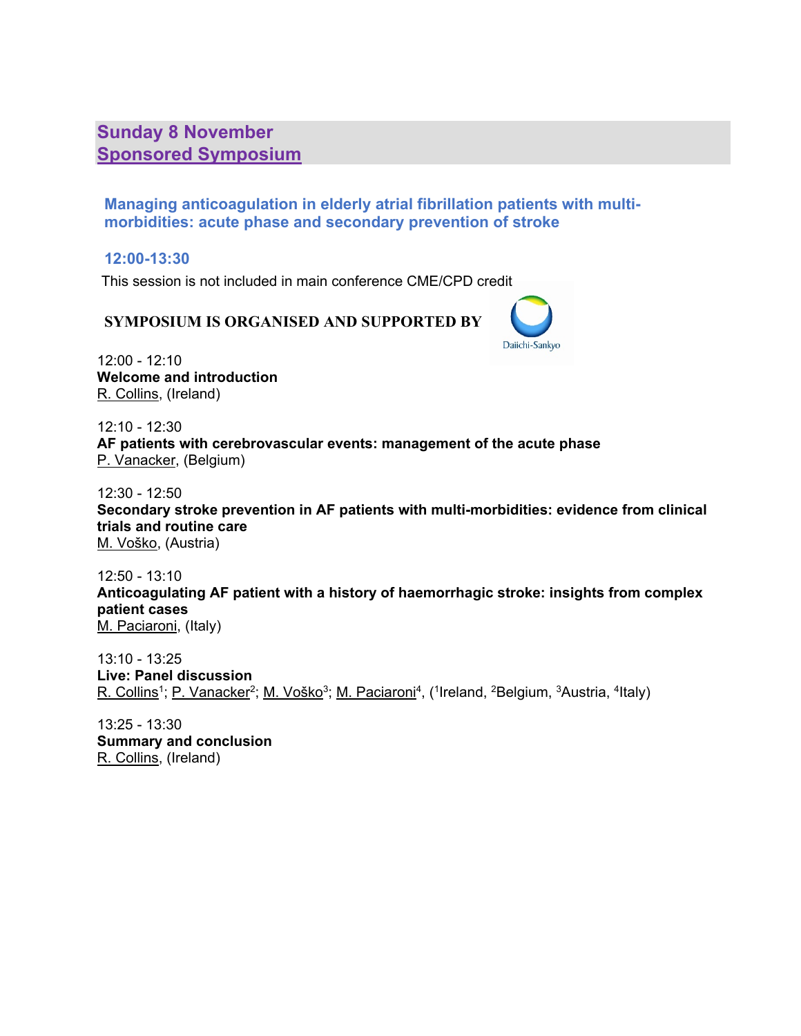## **Sunday 8 November Sponsored Symposium**

### **Managing anticoagulation in elderly atrial fibrillation patients with multimorbidities: acute phase and secondary prevention of stroke**

**12:00-13:30**

This session is not included in main conference CME/CPD credit

## **SYMPOSIUM IS ORGANISED AND SUPPORTED BY**



12:00 - 12:10 **Welcome and introduction** R. Collins, (Ireland)

12:10 - 12:30 **AF patients with cerebrovascular events: management of the acute phase** P. Vanacker, (Belgium)

12:30 - 12:50 **Secondary stroke prevention in AF patients with multi-morbidities: evidence from clinical trials and routine care** M. Voško, (Austria)

12:50 - 13:10 **Anticoagulating AF patient with a history of haemorrhagic stroke: insights from complex patient cases** M. Paciaroni, (Italy)

13:10 - 13:25 **Live: Panel discussion** R. Collins<sup>1</sup>; P. Vanacker<sup>2</sup>; M. Voško<sup>3</sup>; M. Paciaroni<sup>4</sup>, (<sup>1</sup>Ireland, <sup>2</sup>Belgium, <sup>3</sup>Austria, <sup>4</sup>Italy)

13:25 - 13:30 **Summary and conclusion** R. Collins, (Ireland)